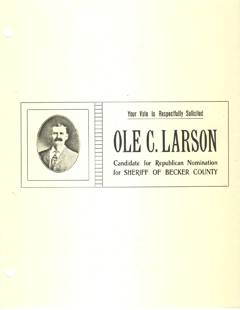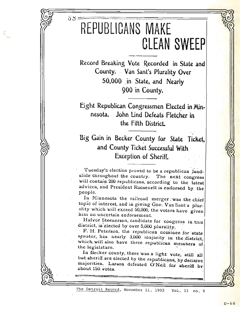## REPUBLICANS MAKE **CLEAN SWEEP**

 $SS =$ 

Record Breaking Vote Recorded in State and County. Van Sant's Plurality Over 50,000 in State, and Nearly 900 in County.

Eight Republican Congressmen Elected in Minnesota. John Lind Defeats Fletcher in the Fifth District.

Big Gain in Becker County for State Ticket, and County Ticket Successful With **Exception of Sheriff.** 

Tuesday's election proved to be a republican landslide throughout the country. The next congress will contain 209 republicans, according to the latest advices, and President Roosevelt is endorsed by the people.

In Minnesota the railroad merger was the chief topic of interest, and in giving Gov. Van Sant a plurality which will exceed 50,000, the voters have given him no uncertain endorsement.

Halvor Steenerson, candidate for congress in this district, is elected by over 5,000 plurality.

F. H. Peterson, the republican nominee for state senator, has nearly 3,000 majority in the district, which will also have three republican members of the legislature.

In Becker county, there was a light vote, still all but sheriff are elected by the republicans, by decisive majorities. Larson defeated O'Neil for sheriff by about 150 votes.

The Detroit Record, November 11, 1902 Vol. 33 no. 9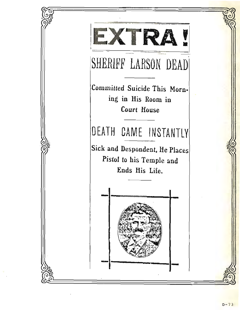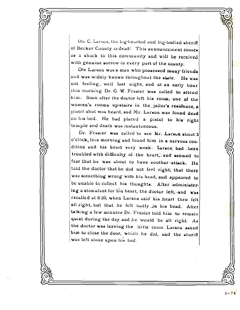Ole C. Larsou, the big-hearted and big-bodied sheriff of Becker County is dead! This announcement comes as a shock to this community and will be received with genuine sorrow in every part of the county.

Ole Larson was a man who possessed many-friends and was widely known throughout the state. He was not feeling, well last night, and at an early hour this morning Dr. G. W. Frasier was called to attend him. Soon after the doctor left his room, one of the women's rooms up-stairs in the jailor's residence, a pistol shot was heard, and Mr. Larson was found dead on his bed. He had placed a pistol to his right temple and death was instantaneous.

Dr. Frasier was called to see Mr. Larson about 3 o'clock, this morning and found him in a nervous condition and his heart very weak. Larson had been troubled with difficulty of the heart, and seemed to fear that he was about to have another rattack. He told the doctor that he did not feel right, that there was something wrong with his head, and appeared to be unable to collect his thoughts. After administering a stimulant for his heart, the doctor left, and was recalled at 6:30, when Larson said his heart then felt all right, but that he felt budly in his head. After talking a few minutes Dr. Frasier told him to remain quiet during the day and he would be all right. As the doctor was leaving the little room Larson asked him to close the door, which he did, and the sheriff was left alone upon his bed.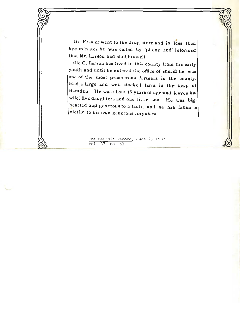Dr. Frasier went to the drug store and in less than five minutes he was called by 'phone and informed that Mr. Larson had shot himself.

Ole C. Larson has lived in this county from his early youth and until he entered the office of sheriff he was one of the most prosperous farmers in the county. Had a large and well stocked farm in the town of Hamden. He was about 45 years of age and leaves his wife, five daughters and one little son. He was bighearted and generous to a fault, and he has fallen a victim to his own generous impulses.

> The Detroit Record, June 7, 1907 Vol. 37 no. 41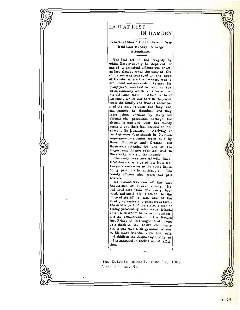

## **LAID AT REST**

## IN HAMDEN

Funeral of Sheriff Ole C. Larson Was Held Last Monday-A Large Attendance.

The final act in the tragedy by which Becker county is deprived of one of its principal officers was enacted last Menday when the body of Ole C. Larson was conveyed to the town of Hamden where the decessed was a proimpent and successful farmer for many years, and laid to rest in the little cemetary which is situated on his old home farm. After a brief ceremony which was held in the court room the family and friends accompanied the remains upon, the long and and journey to Hamden, and they were joined enroute by many old friends who proceeded through the drenching rain and over the muddy roads to pay their last tribute of respect to the docensed. Arriving at the Lutheran Free church in Hainden impressive ceremonies were hold by Rovs. Knudsvig and Grambo, and these were attended by one of the largest sasemblages ever gathered in the county on misimilar occasion.

The casket was covered with beautiful flowers, a large pillow from Mr. Largon's associates in the court house being particularly noticeable. The county officers also were the pall bearers.

Mr. Luxson was one of the best known men of Becker county. He had lived here from his early boyhood, and until his election to the office of sheriff he was one of the most progressive and prosperous farmars in this part of the state, a man of strong personality who made friunds of all with whom he came in contact. and the announcement in the Record last Friday of his tragic death came us a shock to the entire community and it was read with genuine sorrow by his many friends. . To the wife and chidiren the deepest sympathy of all is extended in their time of afflic-Lion,

The Detroit Record, June 14, 1907 Vol. 37 no. 42